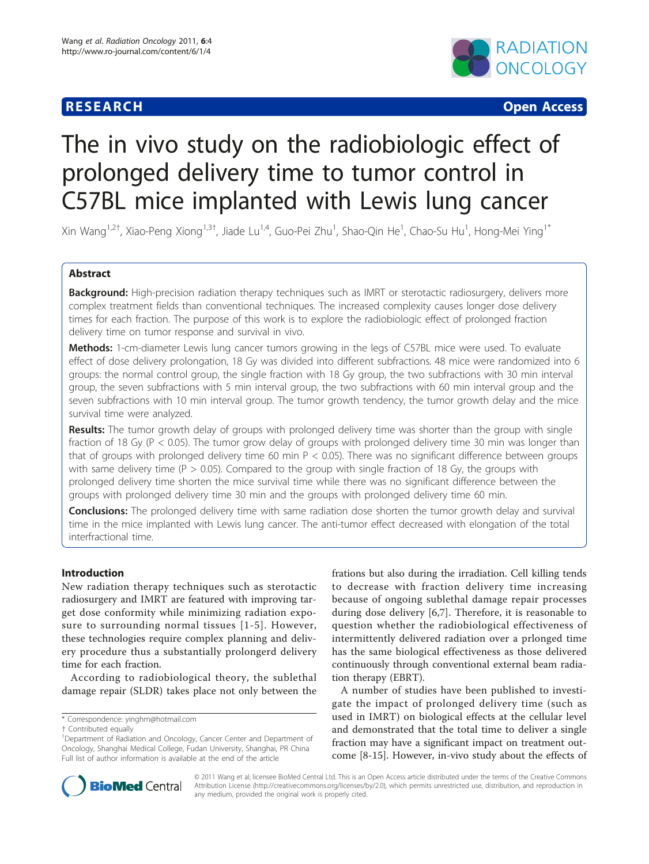# **RESEARCH CONSTRUCTION CONSTRUCTS**



# The in vivo study on the radiobiologic effect of prolonged delivery time to tumor control in C57BL mice implanted with Lewis lung cancer

Xin Wang<sup>1,2†</sup>, Xiao-Peng Xiong<sup>1,3†</sup>, Jiade Lu<sup>1,4</sup>, Guo-Pei Zhu<sup>1</sup>, Shao-Qin He<sup>1</sup>, Chao-Su Hu<sup>1</sup>, Hong-Mei Ying<sup>1\*</sup>

# Abstract

Background: High-precision radiation therapy techniques such as IMRT or sterotactic radiosurgery, delivers more complex treatment fields than conventional techniques. The increased complexity causes longer dose delivery times for each fraction. The purpose of this work is to explore the radiobiologic effect of prolonged fraction delivery time on tumor response and survival in vivo.

Methods: 1-cm-diameter Lewis lung cancer tumors growing in the legs of C57BL mice were used. To evaluate effect of dose delivery prolongation, 18 Gy was divided into different subfractions. 48 mice were randomized into 6 groups: the normal control group, the single fraction with 18 Gy group, the two subfractions with 30 min interval group, the seven subfractions with 5 min interval group, the two subfractions with 60 min interval group and the seven subfractions with 10 min interval group. The tumor growth tendency, the tumor growth delay and the mice survival time were analyzed.

Results: The tumor growth delay of groups with prolonged delivery time was shorter than the group with single fraction of 18 Gy (P < 0.05). The tumor grow delay of groups with prolonged delivery time 30 min was longer than that of groups with prolonged delivery time 60 min  $P < 0.05$ ). There was no significant difference between groups with same delivery time ( $P > 0.05$ ). Compared to the group with single fraction of 18 Gy, the groups with prolonged delivery time shorten the mice survival time while there was no significant difference between the groups with prolonged delivery time 30 min and the groups with prolonged delivery time 60 min.

**Conclusions:** The prolonged delivery time with same radiation dose shorten the tumor growth delay and survival time in the mice implanted with Lewis lung cancer. The anti-tumor effect decreased with elongation of the total interfractional time.

# Introduction

New radiation therapy techniques such as sterotactic radiosurgery and IMRT are featured with improving target dose conformity while minimizing radiation exposure to surrounding normal tissues [[1](#page-5-0)-[5\]](#page-5-0). However, these technologies require complex planning and delivery procedure thus a substantially prolongerd delivery time for each fraction.

According to radiobiological theory, the sublethal damage repair (SLDR) takes place not only between the

\* Correspondence: [yinghm@hotmail.com](mailto:yinghm@hotmail.com)

frations but also during the irradiation. Cell killing tends to decrease with fraction delivery time increasing because of ongoing sublethal damage repair processes during dose delivery [\[6](#page-5-0),[7](#page-5-0)]. Therefore, it is reasonable to question whether the radiobiological effectiveness of intermittently delivered radiation over a prlonged time has the same biological effectiveness as those delivered continuously through conventional external beam radiation therapy (EBRT).

A number of studies have been published to investigate the impact of prolonged delivery time (such as used in IMRT) on biological effects at the cellular level and demonstrated that the total time to deliver a single fraction may have a significant impact on treatment outcome [\[8](#page-5-0)-[15\]](#page-5-0). However, in-vivo study about the effects of



© 2011 Wang et al; licensee BioMed Central Ltd. This is an Open Access article distributed under the terms of the Creative Commons Attribution License [\(http://creativecommons.org/licenses/by/2.0](http://creativecommons.org/licenses/by/2.0)), which permits unrestricted use, distribution, and reproduction in any medium, provided the original work is properly cited.

<sup>†</sup> Contributed equally <sup>1</sup>

<sup>&</sup>lt;sup>1</sup>Department of Radiation and Oncology, Cancer Center and Department of Oncology, Shanghai Medical College, Fudan University, Shanghai, PR China Full list of author information is available at the end of the article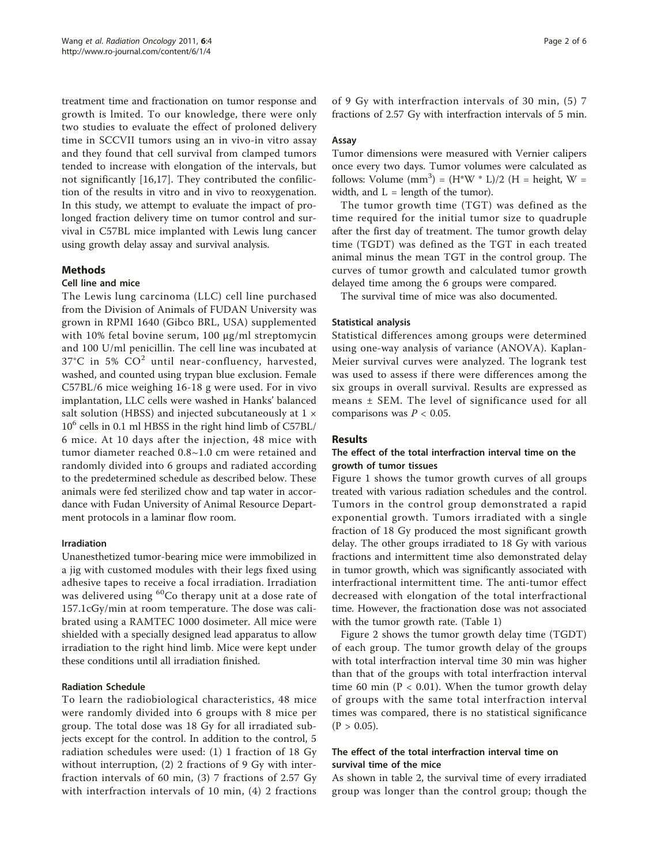treatment time and fractionation on tumor response and growth is lmited. To our knowledge, there were only two studies to evaluate the effect of proloned delivery time in SCCVII tumors using an in vivo-in vitro assay and they found that cell survival from clamped tumors tended to increase with elongation of the intervals, but not significantly [\[16](#page-5-0),[17\]](#page-5-0). They contributed the confiliction of the results in vitro and in vivo to reoxygenation. In this study, we attempt to evaluate the impact of prolonged fraction delivery time on tumor control and survival in C57BL mice implanted with Lewis lung cancer using growth delay assay and survival analysis.

### Methods

#### Cell line and mice

The Lewis lung carcinoma (LLC) cell line purchased from the Division of Animals of FUDAN University was grown in RPMI 1640 (Gibco BRL, USA) supplemented with 10% fetal bovine serum, 100 μg/ml streptomycin and 100 U/ml penicillin. The cell line was incubated at  $37^{\circ}$ C in 5%  $CO^{2}$  until near-confluency, harvested, washed, and counted using trypan blue exclusion. Female C57BL/6 mice weighing 16-18 g were used. For in vivo implantation, LLC cells were washed in Hanks' balanced salt solution (HBSS) and injected subcutaneously at 1  $\times$  $10<sup>6</sup>$  cells in 0.1 ml HBSS in the right hind limb of C57BL/ 6 mice. At 10 days after the injection, 48 mice with tumor diameter reached 0.8~1.0 cm were retained and randomly divided into 6 groups and radiated according to the predetermined schedule as described below. These animals were fed sterilized chow and tap water in accordance with Fudan University of Animal Resource Department protocols in a laminar flow room.

#### Irradiation

Unanesthetized tumor-bearing mice were immobilized in a jig with customed modules with their legs fixed using adhesive tapes to receive a focal irradiation. Irradiation was delivered using  ${}^{60}Co$  therapy unit at a dose rate of 157.1cGy/min at room temperature. The dose was calibrated using a RAMTEC 1000 dosimeter. All mice were shielded with a specially designed lead apparatus to allow irradiation to the right hind limb. Mice were kept under these conditions until all irradiation finished.

#### Radiation Schedule

To learn the radiobiological characteristics, 48 mice were randomly divided into 6 groups with 8 mice per group. The total dose was 18 Gy for all irradiated subjects except for the control. In addition to the control, 5 radiation schedules were used: (1) 1 fraction of 18 Gy without interruption, (2) 2 fractions of 9 Gy with interfraction intervals of 60 min, (3) 7 fractions of 2.57 Gy with interfraction intervals of 10 min, (4) 2 fractions of 9 Gy with interfraction intervals of 30 min, (5) 7 fractions of 2.57 Gy with interfraction intervals of 5 min.

#### Assay

Tumor dimensions were measured with Vernier calipers once every two days. Tumor volumes were calculated as follows: Volume  $(mm^3) = (H^*W^* L)/2$  (H = height, W = width, and  $L =$  length of the tumor).

The tumor growth time (TGT) was defined as the time required for the initial tumor size to quadruple after the first day of treatment. The tumor growth delay time (TGDT) was defined as the TGT in each treated animal minus the mean TGT in the control group. The curves of tumor growth and calculated tumor growth delayed time among the 6 groups were compared.

The survival time of mice was also documented.

#### Statistical analysis

Statistical differences among groups were determined using one-way analysis of variance (ANOVA). Kaplan-Meier survival curves were analyzed. The logrank test was used to assess if there were differences among the six groups in overall survival. Results are expressed as means ± SEM. The level of significance used for all comparisons was  $P < 0.05$ .

#### Results

## The effect of the total interfraction interval time on the growth of tumor tissues

Figure [1](#page-2-0) shows the tumor growth curves of all groups treated with various radiation schedules and the control. Tumors in the control group demonstrated a rapid exponential growth. Tumors irradiated with a single fraction of 18 Gy produced the most significant growth delay. The other groups irradiated to 18 Gy with various fractions and intermittent time also demonstrated delay in tumor growth, which was significantly associated with interfractional intermittent time. The anti-tumor effect decreased with elongation of the total interfractional time. However, the fractionation dose was not associated with the tumor growth rate. (Table [1](#page-2-0))

Figure [2](#page-3-0) shows the tumor growth delay time (TGDT) of each group. The tumor growth delay of the groups with total interfraction interval time 30 min was higher than that of the groups with total interfraction interval time 60 min ( $P < 0.01$ ). When the tumor growth delay of groups with the same total interfraction interval times was compared, there is no statistical significance  $(P > 0.05)$ .

### The effect of the total interfraction interval time on survival time of the mice

As shown in table [2,](#page-3-0) the survival time of every irradiated group was longer than the control group; though the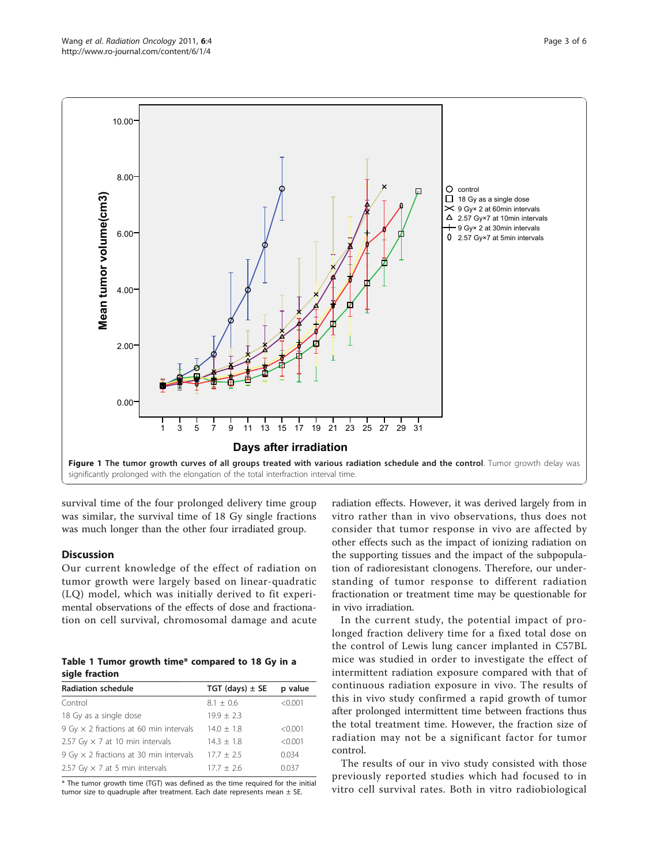<span id="page-2-0"></span>

survival time of the four prolonged delivery time group was similar, the survival time of 18 Gy single fractions was much longer than the other four irradiated group.

#### **Discussion**

Our current knowledge of the effect of radiation on tumor growth were largely based on linear-quadratic (LQ) model, which was initially derived to fit experimental observations of the effects of dose and fractionation on cell survival, chromosomal damage and acute

| Table 1 Tumor growth time* compared to 18 Gy in a |  |  |  |  |
|---------------------------------------------------|--|--|--|--|
| sigle fraction                                    |  |  |  |  |

| <b>Radiation schedule</b>                     | TGT (days) $\pm$ SE | p value |
|-----------------------------------------------|---------------------|---------|
| Control                                       | $8.1 \pm 0.6$       | < 0.001 |
| 18 Gy as a single dose                        | $19.9 + 2.3$        |         |
| 9 Gy $\times$ 2 fractions at 60 min intervals | $14.0 \pm 1.8$      | < 0.001 |
| 2.57 Gy $\times$ 7 at 10 min intervals        | $14.3 + 1.8$        | < 0.001 |
| 9 Gy $\times$ 2 fractions at 30 min intervals | $17.7 \pm 2.5$      | 0.034   |
| 2.57 Gy $\times$ 7 at 5 min intervals         | $17.7 \pm 2.6$      | 0.037   |

\* The tumor growth time (TGT) was defined as the time required for the initial tumor size to quadruple after treatment. Each date represents mean  $\pm$  SE.

radiation effects. However, it was derived largely from in vitro rather than in vivo observations, thus does not consider that tumor response in vivo are affected by other effects such as the impact of ionizing radiation on the supporting tissues and the impact of the subpopulation of radioresistant clonogens. Therefore, our understanding of tumor response to different radiation fractionation or treatment time may be questionable for in vivo irradiation.

In the current study, the potential impact of prolonged fraction delivery time for a fixed total dose on the control of Lewis lung cancer implanted in C57BL mice was studied in order to investigate the effect of intermittent radiation exposure compared with that of continuous radiation exposure in vivo. The results of this in vivo study confirmed a rapid growth of tumor after prolonged intermittent time between fractions thus the total treatment time. However, the fraction size of radiation may not be a significant factor for tumor control.

The results of our in vivo study consisted with those previously reported studies which had focused to in vitro cell survival rates. Both in vitro radiobiological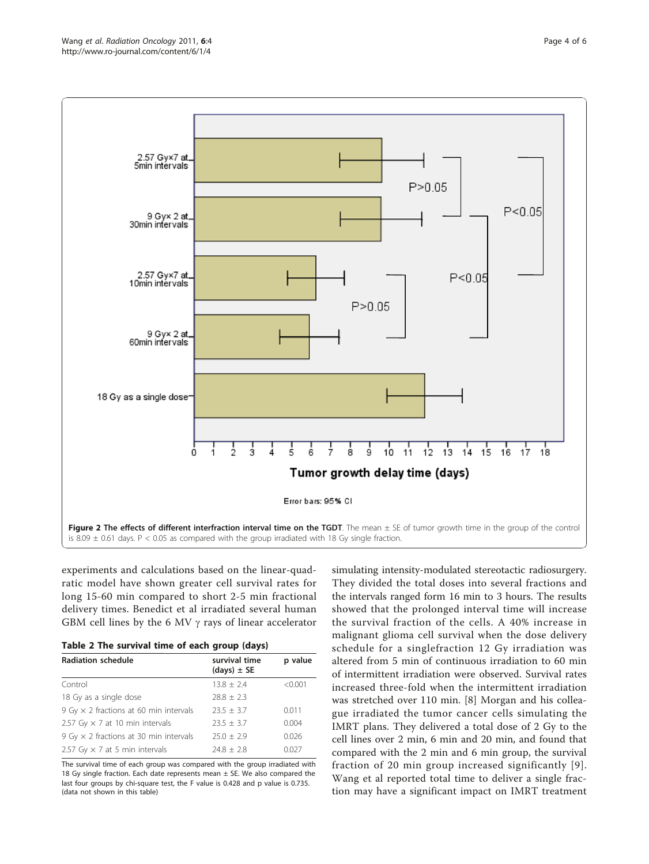<span id="page-3-0"></span>

experiments and calculations based on the linear-quadratic model have shown greater cell survival rates for long 15-60 min compared to short 2-5 min fractional delivery times. Benedict et al irradiated several human GBM cell lines by the 6 MV  $\gamma$  rays of linear accelerator

| Table 2 The survival time of each group (days) |  |  |  |  |  |  |
|------------------------------------------------|--|--|--|--|--|--|
|------------------------------------------------|--|--|--|--|--|--|

| <b>Radiation schedule</b>                     | survival time<br>$(days) \pm SE$ | p value |
|-----------------------------------------------|----------------------------------|---------|
| Control                                       | $13.8 \pm 2.4$                   | < 0.001 |
| 18 Gy as a single dose                        | $78.8 + 2.3$                     |         |
| 9 Gy $\times$ 2 fractions at 60 min intervals | $23.5 + 3.7$                     | 0.011   |
| 2.57 Gy $\times$ 7 at 10 min intervals        | $23.5 + 3.7$                     | 0.004   |
| 9 Gy $\times$ 2 fractions at 30 min intervals | $25.0 + 2.9$                     | 0.026   |
| 2.57 Gy $\times$ 7 at 5 min intervals         | $74.8 + 7.8$                     | 0.027   |

The survival time of each group was compared with the group irradiated with 18 Gy single fraction. Each date represents mean  $\pm$  SE. We also compared the last four groups by chi-square test, the F value is 0.428 and p value is 0.735. (data not shown in this table)

simulating intensity-modulated stereotactic radiosurgery. They divided the total doses into several fractions and the intervals ranged form 16 min to 3 hours. The results showed that the prolonged interval time will increase the survival fraction of the cells. A 40% increase in malignant glioma cell survival when the dose delivery schedule for a singlefraction 12 Gy irradiation was altered from 5 min of continuous irradiation to 60 min of intermittent irradiation were observed. Survival rates increased three-fold when the intermittent irradiation was stretched over 110 min. [[8\]](#page-5-0) Morgan and his colleague irradiated the tumor cancer cells simulating the IMRT plans. They delivered a total dose of 2 Gy to the cell lines over 2 min, 6 min and 20 min, and found that compared with the 2 min and 6 min group, the survival fraction of 20 min group increased significantly [[9\]](#page-5-0). Wang et al reported total time to deliver a single fraction may have a significant impact on IMRT treatment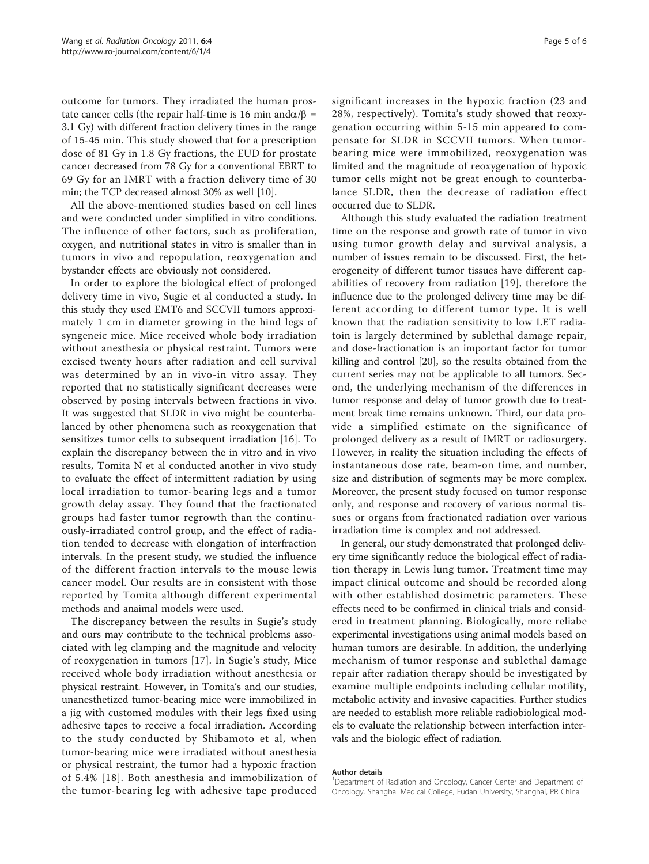outcome for tumors. They irradiated the human prostate cancer cells (the repair half-time is 16 min and  $\alpha/\beta$  = 3.1 Gy) with different fraction delivery times in the range of 15-45 min. This study showed that for a prescription dose of 81 Gy in 1.8 Gy fractions, the EUD for prostate cancer decreased from 78 Gy for a conventional EBRT to 69 Gy for an IMRT with a fraction delivery time of 30 min; the TCP decreased almost 30% as well [\[10\]](#page-5-0).

All the above-mentioned studies based on cell lines and were conducted under simplified in vitro conditions. The influence of other factors, such as proliferation, oxygen, and nutritional states in vitro is smaller than in tumors in vivo and repopulation, reoxygenation and bystander effects are obviously not considered.

In order to explore the biological effect of prolonged delivery time in vivo, Sugie et al conducted a study. In this study they used EMT6 and SCCVII tumors approximately 1 cm in diameter growing in the hind legs of syngeneic mice. Mice received whole body irradiation without anesthesia or physical restraint. Tumors were excised twenty hours after radiation and cell survival was determined by an in vivo-in vitro assay. They reported that no statistically significant decreases were observed by posing intervals between fractions in vivo. It was suggested that SLDR in vivo might be counterbalanced by other phenomena such as reoxygenation that sensitizes tumor cells to subsequent irradiation [\[16](#page-5-0)]. To explain the discrepancy between the in vitro and in vivo results, Tomita N et al conducted another in vivo study to evaluate the effect of intermittent radiation by using local irradiation to tumor-bearing legs and a tumor growth delay assay. They found that the fractionated groups had faster tumor regrowth than the continuously-irradiated control group, and the effect of radiation tended to decrease with elongation of interfraction intervals. In the present study, we studied the influence of the different fraction intervals to the mouse lewis cancer model. Our results are in consistent with those reported by Tomita although different experimental methods and anaimal models were used.

The discrepancy between the results in Sugie's study and ours may contribute to the technical problems associated with leg clamping and the magnitude and velocity of reoxygenation in tumors [[17\]](#page-5-0). In Sugie's study, Mice received whole body irradiation without anesthesia or physical restraint. However, in Tomita's and our studies, unanesthetized tumor-bearing mice were immobilized in a jig with customed modules with their legs fixed using adhesive tapes to receive a focal irradiation. According to the study conducted by Shibamoto et al, when tumor-bearing mice were irradiated without anesthesia or physical restraint, the tumor had a hypoxic fraction of 5.4% [[18](#page-5-0)]. Both anesthesia and immobilization of the tumor-bearing leg with adhesive tape produced Page 5 of 6

significant increases in the hypoxic fraction (23 and 28%, respectively). Tomita's study showed that reoxygenation occurring within 5-15 min appeared to compensate for SLDR in SCCVII tumors. When tumorbearing mice were immobilized, reoxygenation was limited and the magnitude of reoxygenation of hypoxic tumor cells might not be great enough to counterbalance SLDR, then the decrease of radiation effect occurred due to SLDR.

Although this study evaluated the radiation treatment time on the response and growth rate of tumor in vivo using tumor growth delay and survival analysis, a number of issues remain to be discussed. First, the heterogeneity of different tumor tissues have different capabilities of recovery from radiation [[19](#page-5-0)], therefore the influence due to the prolonged delivery time may be different according to different tumor type. It is well known that the radiation sensitivity to low LET radiatoin is largely determined by sublethal damage repair, and dose-fractionation is an important factor for tumor killing and control [\[20](#page-5-0)], so the results obtained from the current series may not be applicable to all tumors. Second, the underlying mechanism of the differences in tumor response and delay of tumor growth due to treatment break time remains unknown. Third, our data provide a simplified estimate on the significance of prolonged delivery as a result of IMRT or radiosurgery. However, in reality the situation including the effects of instantaneous dose rate, beam-on time, and number, size and distribution of segments may be more complex. Moreover, the present study focused on tumor response only, and response and recovery of various normal tissues or organs from fractionated radiation over various irradiation time is complex and not addressed.

In general, our study demonstrated that prolonged delivery time significantly reduce the biological effect of radiation therapy in Lewis lung tumor. Treatment time may impact clinical outcome and should be recorded along with other established dosimetric parameters. These effects need to be confirmed in clinical trials and considered in treatment planning. Biologically, more reliabe experimental investigations using animal models based on human tumors are desirable. In addition, the underlying mechanism of tumor response and sublethal damage repair after radiation therapy should be investigated by examine multiple endpoints including cellular motility, metabolic activity and invasive capacities. Further studies are needed to establish more reliable radiobiological models to evaluate the relationship between interfaction intervals and the biologic effect of radiation.

#### Author details

<sup>1</sup>Department of Radiation and Oncology, Cancer Center and Department of Oncology, Shanghai Medical College, Fudan University, Shanghai, PR China.